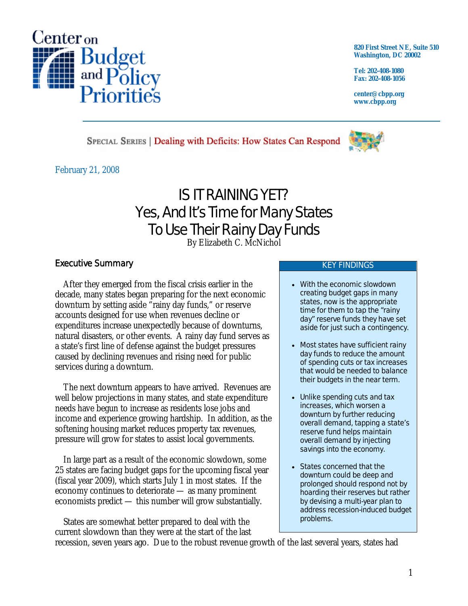

**820 First Street NE, Suite 510 Washington, DC 20002** 

**Tel: 202-408-1080 Fax: 202-408-1056** 

**center@cbpp.org www.cbpp.org** 

SPECIAL SERIES | Dealing with Deficits: How States Can Respond

February 21, 2008

# IS IT RAINING YET? Yes, And It's Time for Many States To Use Their Rainy Day Funds

By Elizabeth C. McNichol

# Executive Summary

After they emerged from the fiscal crisis earlier in the decade, many states began preparing for the next economic downturn by setting aside "rainy day funds," or reserve accounts designed for use when revenues decline or expenditures increase unexpectedly because of downturns, natural disasters, or other events. A rainy day fund serves as a state's first line of defense against the budget pressures caused by declining revenues and rising need for public services during a downturn.

The next downturn appears to have arrived. Revenues are well below projections in many states, and state expenditure needs have begun to increase as residents lose jobs and income and experience growing hardship. In addition, as the softening housing market reduces property tax revenues, pressure will grow for states to assist local governments.

In large part as a result of the economic slowdown, some 25 states are facing budget gaps for the upcoming fiscal year (fiscal year 2009), which starts July 1 in most states. If the economy continues to deteriorate — as many prominent economists predict — this number will grow substantially.

States are somewhat better prepared to deal with the current slowdown than they were at the start of the last

#### KEY FINDINGS

- With the economic slowdown creating budget gaps in many states, now is the appropriate time for them to tap the "rainy day" reserve funds they have set aside for just such a contingency.
- Most states have sufficient rainy day funds to reduce the amount of spending cuts or tax increases that would be needed to balance their budgets in the near term.
- Unlike spending cuts and tax increases, which worsen a downturn by further reducing overall demand, tapping a state's reserve fund helps maintain overall demand by injecting savings into the economy.
- States concerned that the downturn could be deep and prolonged should respond not by hoarding their reserves but rather by devising a multi-year plan to address recession-induced budget problems.

recession, seven years ago. Due to the robust revenue growth of the last several years, states had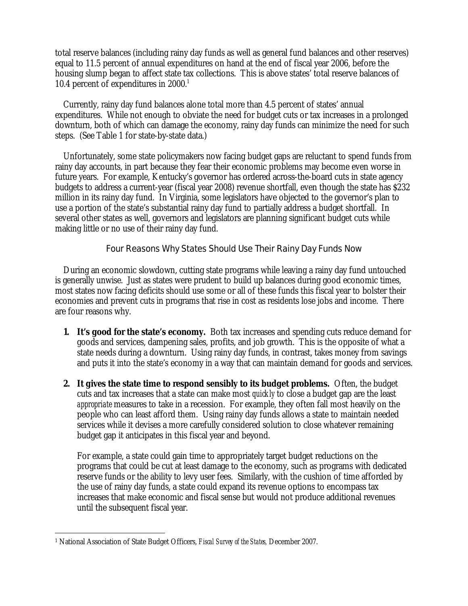total reserve balances (including rainy day funds as well as general fund balances and other reserves) equal to 11.5 percent of annual expenditures on hand at the end of fiscal year 2006, before the housing slump began to affect state tax collections. This is above states' total reserve balances of 10.4 percent of expenditures in  $2000$ .<sup>1</sup>

Currently, rainy day fund balances alone total more than 4.5 percent of states' annual expenditures. While not enough to obviate the need for budget cuts or tax increases in a prolonged downturn, both of which can damage the economy, rainy day funds can minimize the need for such steps. (See Table 1 for state-by-state data.)

Unfortunately, some state policymakers now facing budget gaps are reluctant to spend funds from rainy day accounts, in part because they fear their economic problems may become even worse in future years. For example, Kentucky's governor has ordered across-the-board cuts in state agency budgets to address a current-year (fiscal year 2008) revenue shortfall, even though the state has \$232 million in its rainy day fund. In Virginia, some legislators have objected to the governor's plan to use a portion of the state's substantial rainy day fund to partially address a budget shortfall. In several other states as well, governors and legislators are planning significant budget cuts while making little or no use of their rainy day fund.

## Four Reasons Why States Should Use Their Rainy Day Funds Now

During an economic slowdown, cutting state programs while leaving a rainy day fund untouched is generally unwise. Just as states were prudent to build up balances during good economic times, most states now facing deficits should use some or all of these funds this fiscal year to bolster their economies and prevent cuts in programs that rise in cost as residents lose jobs and income. There are four reasons why.

- **1. It's good for the state's economy.** Both tax increases and spending cuts reduce demand for goods and services, dampening sales, profits, and job growth. This is the opposite of what a state needs during a downturn. Using rainy day funds, in contrast, takes money from savings and puts it into the state's economy in a way that can maintain demand for goods and services.
- **2. It gives the state time to respond sensibly to its budget problems.** Often, the budget cuts and tax increases that a state can make most *quickly* to close a budget gap are the least *appropriate* measures to take in a recession. For example, they often fall most heavily on the people who can least afford them. Using rainy day funds allows a state to maintain needed services while it devises a more carefully considered solution to close whatever remaining budget gap it anticipates in this fiscal year and beyond.

For example, a state could gain time to appropriately target budget reductions on the programs that could be cut at least damage to the economy, such as programs with dedicated reserve funds or the ability to levy user fees. Similarly, with the cushion of time afforded by the use of rainy day funds, a state could expand its revenue options to encompass tax increases that make economic and fiscal sense but would not produce additional revenues until the subsequent fiscal year.

 $\overline{a}$ 1 National Association of State Budget Officers, *Fiscal Survey of the States,* December 2007.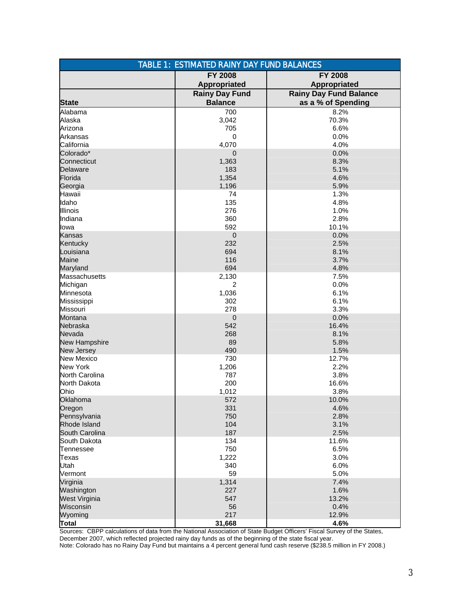| <b>TABLE 1: ESTIMATED RAINY DAY FUND BALANCES</b> |                       |                               |
|---------------------------------------------------|-----------------------|-------------------------------|
|                                                   | <b>FY 2008</b>        | <b>FY 2008</b>                |
|                                                   | Appropriated          | Appropriated                  |
|                                                   | <b>Rainy Day Fund</b> | <b>Rainy Day Fund Balance</b> |
| <b>State</b>                                      | <b>Balance</b>        | as a % of Spending            |
| Alabama<br>Alaska                                 | 700<br>3,042          | 8.2%<br>70.3%                 |
| Arizona                                           | 705                   | 6.6%                          |
| Arkansas                                          | 0                     | 0.0%                          |
| California                                        | 4,070                 | 4.0%                          |
| Colorado*                                         | $\mathbf 0$           | 0.0%                          |
| Connecticut                                       | 1,363                 | 8.3%                          |
| <b>Delaware</b>                                   | 183                   | 5.1%                          |
| Florida                                           | 1,354                 | 4.6%                          |
| Georgia                                           | 1,196                 | 5.9%                          |
| Hawaii                                            | 74                    | 1.3%                          |
| Idaho                                             | 135                   | 4.8%                          |
| <b>Illinois</b>                                   | 276                   | 1.0%                          |
| Indiana                                           | 360                   | 2.8%                          |
| lowa                                              | 592                   | 10.1%                         |
| Kansas                                            | $\mathbf 0$           | 0.0%                          |
| Kentucky                                          | 232                   | 2.5%                          |
| Louisiana                                         | 694                   | 8.1%                          |
| Maine                                             | 116                   | 3.7%                          |
| Maryland                                          | 694                   | 4.8%                          |
| Massachusetts                                     | 2,130                 | 7.5%                          |
| Michigan                                          | 2                     | 0.0%                          |
| Minnesota                                         | 1,036                 | 6.1%                          |
| Mississippi                                       | 302                   | 6.1%                          |
| Missouri                                          | 278                   | 3.3%                          |
| Montana                                           | $\mathbf 0$           | 0.0%                          |
| Nebraska                                          | 542                   | 16.4%                         |
| Nevada                                            | 268                   | 8.1%                          |
| New Hampshire                                     | 89                    | 5.8%                          |
| New Jersey                                        | 490                   | 1.5%                          |
| <b>New Mexico</b>                                 | 730                   | 12.7%                         |
| New York                                          | 1,206                 | 2.2%                          |
| North Carolina                                    | 787                   | 3.8%                          |
| North Dakota                                      | 200                   | 16.6%                         |
| Ohio                                              | 1,012                 | 3.8%                          |
| Oklahoma                                          | 572                   | 10.0%                         |
| Oregon                                            | 331                   | 4.6%                          |
| Pennsylvania                                      | 750                   | 2.8%                          |
| Rhode Island                                      | 104                   | 3.1%                          |
| South Carolina                                    | 187                   | 2.5%                          |
| South Dakota                                      | 134                   | 11.6%                         |
| Tennessee                                         | 750                   | 6.5%                          |
| Texas                                             | 1,222                 | 3.0%                          |
| Utah<br>Vermont                                   | 340<br>59             | 6.0%<br>5.0%                  |
| Virginia                                          |                       | 7.4%                          |
| Washington                                        | 1,314<br>227          | 1.6%                          |
| West Virginia                                     | 547                   | 13.2%                         |
| Wisconsin                                         | 56                    | 0.4%                          |
| Wyoming                                           | 217                   | 12.9%                         |
| <b>Total</b>                                      | 31,668                | 4.6%                          |

Sources: CBPP calculations of data from the National Association of State Budget Officers' Fiscal Survey of the States, December 2007, which reflected projected rainy day funds as of the beginning of the state fiscal year. Note: Colorado has no Rainy Day Fund but maintains a 4 percent general fund cash reserve (\$238.5 million in FY 2008.)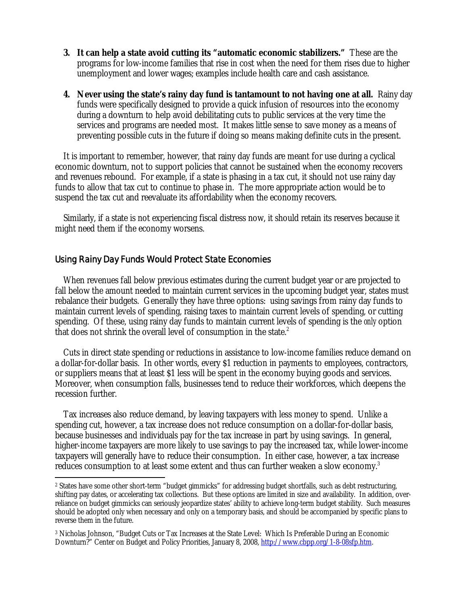- **3. It can help a state avoid cutting its "automatic economic stabilizers."** These are the programs for low-income families that rise in cost when the need for them rises due to higher unemployment and lower wages; examples include health care and cash assistance.
- **4. Never using the state's rainy day fund is tantamount to not having one at all.** Rainy day funds were specifically designed to provide a quick infusion of resources into the economy during a downturn to help avoid debilitating cuts to public services at the very time the services and programs are needed most. It makes little sense to save money as a means of preventing possible cuts in the future if doing so means making definite cuts in the present.

It is important to remember, however, that rainy day funds are meant for use during a cyclical economic downturn, not to support policies that cannot be sustained when the economy recovers and revenues rebound. For example, if a state is phasing in a tax cut, it should not use rainy day funds to allow that tax cut to continue to phase in. The more appropriate action would be to suspend the tax cut and reevaluate its affordability when the economy recovers.

Similarly, if a state is not experiencing fiscal distress now, it should retain its reserves because it might need them if the economy worsens.

## Using Rainy Day Funds Would Protect State Economies

-

When revenues fall below previous estimates during the current budget year or are projected to fall below the amount needed to maintain current services in the upcoming budget year, states must rebalance their budgets. Generally they have three options: using savings from rainy day funds to maintain current levels of spending, raising taxes to maintain current levels of spending, or cutting spending. Of these, using rainy day funds to maintain current levels of spending is the *only* option that does not shrink the overall level of consumption in the state.<sup>2</sup>

Cuts in direct state spending or reductions in assistance to low-income families reduce demand on a dollar-for-dollar basis. In other words, every \$1 reduction in payments to employees, contractors, or suppliers means that at least \$1 less will be spent in the economy buying goods and services. Moreover, when consumption falls, businesses tend to reduce their workforces, which deepens the recession further.

Tax increases also reduce demand, by leaving taxpayers with less money to spend. Unlike a spending cut, however, a tax increase does not reduce consumption on a dollar-for-dollar basis, because businesses and individuals pay for the tax increase in part by using savings. In general, higher-income taxpayers are more likely to use savings to pay the increased tax, while lower-income taxpayers will generally have to reduce their consumption. In either case, however, a tax increase reduces consumption to at least some extent and thus can further weaken a slow economy.<sup>3</sup>

<sup>2</sup> States have some other short-term "budget gimmicks" for addressing budget shortfalls, such as debt restructuring, shifting pay dates, or accelerating tax collections. But these options are limited in size and availability. In addition, overreliance on budget gimmicks can seriously jeopardize states' ability to achieve long-term budget stability. Such measures should be adopted only when necessary and only on a temporary basis, and should be accompanied by specific plans to reverse them in the future.

<sup>3</sup> Nicholas Johnson, "Budget Cuts or Tax Increases at the State Level: Which Is Preferable During an Economic Downturn?" Center on Budget and Policy Priorities, January 8, 2008, http://www.cbpp.org/1-8-08sfp.htm.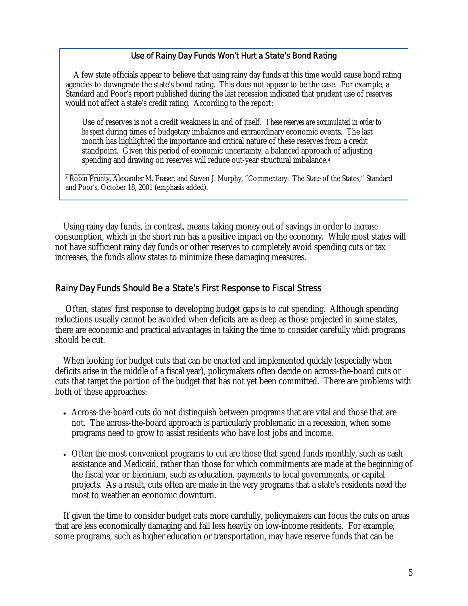#### Use of Rainy Day Funds Won't Hurt a State's Bond Rating

A few state officials appear to believe that using rainy day funds at this time would cause bond rating agencies to downgrade the state's bond rating. This does not appear to be the case. For example, a Standard and Poor's report published during the last recession indicated that prudent use of reserves would not affect a state's credit rating. According to the report:

Use of reserves is not a credit weakness in and of itself. *These reserves are accumulated in order to be spent* during times of budgetary imbalance and extraordinary economic events. The last month has highlighted the importance and critical nature of these reserves from a credit standpoint. Given this period of economic uncertainty, a balanced approach of adjusting spending and drawing on reserves will reduce out-year structural imbalance.<sup>a</sup>

 $\overline{\phantom{a}}$  , where  $\overline{\phantom{a}}$ a Robin Prunty, Alexander M. Fraser, and Steven J. Murphy, "Commentary: The State of the States," Standard and Poor's, October 18, 2001 (emphasis added).

Using rainy day funds, in contrast, means taking money out of savings in order to *increase*  consumption, which in the short run has a positive impact on the economy. While most states will not have sufficient rainy day funds or other reserves to completely avoid spending cuts or tax increases, the funds allow states to minimize these damaging measures.

## Rainy Day Funds Should Be a State's First Response to Fiscal Stress

 Often, states' first response to developing budget gaps is to cut spending. Although spending reductions usually cannot be avoided when deficits are as deep as those projected in some states, there are economic and practical advantages in taking the time to consider carefully *which* programs should be cut.

When looking for budget cuts that can be enacted and implemented quickly (especially when deficits arise in the middle of a fiscal year), policymakers often decide on across-the-board cuts or cuts that target the portion of the budget that has not yet been committed. There are problems with both of these approaches:

- Across-the-board cuts do not distinguish between programs that are vital and those that are not. The across-the-board approach is particularly problematic in a recession, when some programs need to grow to assist residents who have lost jobs and income.
- Often the most convenient programs to cut are those that spend funds monthly, such as cash assistance and Medicaid, rather than those for which commitments are made at the beginning of the fiscal year or biennium, such as education, payments to local governments, or capital projects. As a result, cuts often are made in the very programs that a state's residents need the most to weather an economic downturn.

If given the time to consider budget cuts more carefully, policymakers can focus the cuts on areas that are less economically damaging and fall less heavily on low-income residents. For example, some programs, such as higher education or transportation, may have reserve funds that can be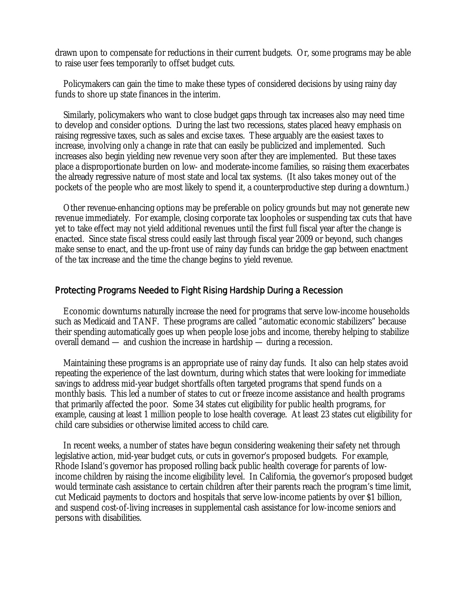drawn upon to compensate for reductions in their current budgets. Or, some programs may be able to raise user fees temporarily to offset budget cuts.

Policymakers can gain the time to make these types of considered decisions by using rainy day funds to shore up state finances in the interim.

Similarly, policymakers who want to close budget gaps through tax increases also may need time to develop and consider options. During the last two recessions, states placed heavy emphasis on raising regressive taxes, such as sales and excise taxes. These arguably are the easiest taxes to increase, involving only a change in rate that can easily be publicized and implemented. Such increases also begin yielding new revenue very soon after they are implemented. But these taxes place a disproportionate burden on low- and moderate-income families, so raising them exacerbates the already regressive nature of most state and local tax systems. (It also takes money out of the pockets of the people who are most likely to spend it, a counterproductive step during a downturn.)

Other revenue-enhancing options may be preferable on policy grounds but may not generate new revenue immediately. For example, closing corporate tax loopholes or suspending tax cuts that have yet to take effect may not yield additional revenues until the first full fiscal year after the change is enacted. Since state fiscal stress could easily last through fiscal year 2009 or beyond, such changes make sense to enact, and the up-front use of rainy day funds can bridge the gap between enactment of the tax increase and the time the change begins to yield revenue.

### Protecting Programs Needed to Fight Rising Hardship During a Recession

Economic downturns naturally increase the need for programs that serve low-income households such as Medicaid and TANF. These programs are called "automatic economic stabilizers" because their spending automatically goes up when people lose jobs and income, thereby helping to stabilize overall demand — and cushion the increase in hardship — during a recession.

Maintaining these programs is an appropriate use of rainy day funds. It also can help states avoid repeating the experience of the last downturn, during which states that were looking for immediate savings to address mid-year budget shortfalls often targeted programs that spend funds on a monthly basis. This led a number of states to cut or freeze income assistance and health programs that primarily affected the poor. Some 34 states cut eligibility for public health programs, for example, causing at least 1 million people to lose health coverage. At least 23 states cut eligibility for child care subsidies or otherwise limited access to child care.

In recent weeks, a number of states have begun considering weakening their safety net through legislative action, mid-year budget cuts, or cuts in governor's proposed budgets. For example, Rhode Island's governor has proposed rolling back public health coverage for parents of lowincome children by raising the income eligibility level. In California, the governor's proposed budget would terminate cash assistance to certain children after their parents reach the program's time limit, cut Medicaid payments to doctors and hospitals that serve low-income patients by over \$1 billion, and suspend cost-of-living increases in supplemental cash assistance for low-income seniors and persons with disabilities.